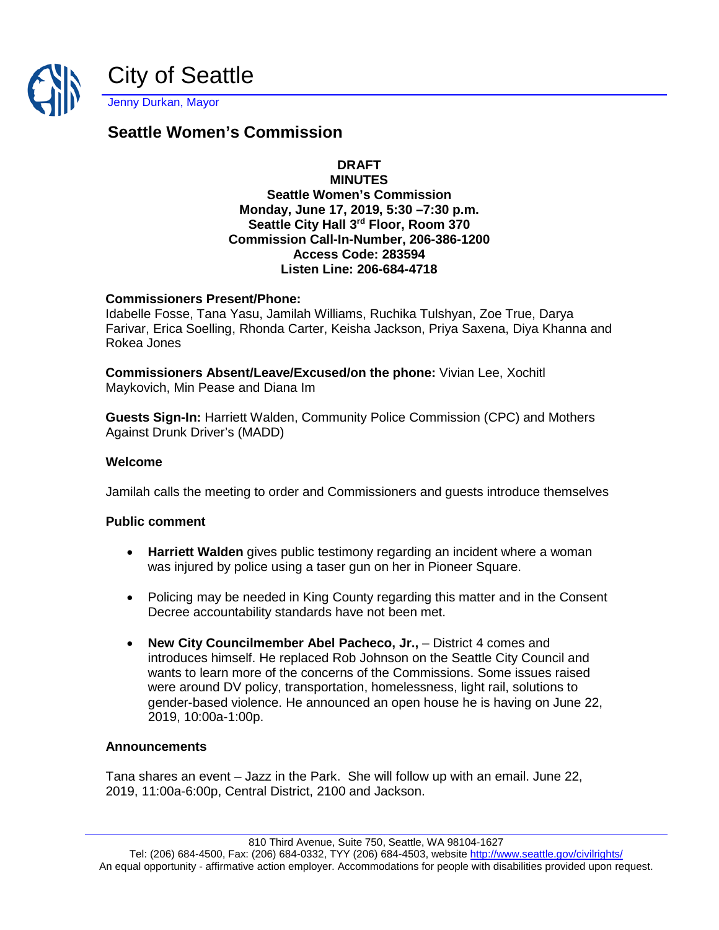

# **Seattle Women's Commission**

# **DRAFT**

#### **MINUTES Seattle Women's Commission Monday, June 17, 2019, 5:30 –7:30 p.m. Seattle City Hall 3rd Floor, Room 370 Commission Call-In-Number, 206-386-1200 Access Code: 283594 Listen Line: 206-684-4718**

## **Commissioners Present/Phone:**

Idabelle Fosse, Tana Yasu, Jamilah Williams, Ruchika Tulshyan, Zoe True, Darya Farivar, Erica Soelling, Rhonda Carter, Keisha Jackson, Priya Saxena, Diya Khanna and Rokea Jones

**Commissioners Absent/Leave/Excused/on the phone:** Vivian Lee, Xochitl Maykovich, Min Pease and Diana Im

**Guests Sign-In:** Harriett Walden, Community Police Commission (CPC) and Mothers Against Drunk Driver's (MADD)

#### **Welcome**

Jamilah calls the meeting to order and Commissioners and guests introduce themselves

## **Public comment**

- **Harriett Walden** gives public testimony regarding an incident where a woman was injured by police using a taser gun on her in Pioneer Square.
- Policing may be needed in King County regarding this matter and in the Consent Decree accountability standards have not been met.
- **New City Councilmember Abel Pacheco, Jr.,** District 4 comes and introduces himself. He replaced Rob Johnson on the Seattle City Council and wants to learn more of the concerns of the Commissions. Some issues raised were around DV policy, transportation, homelessness, light rail, solutions to gender-based violence. He announced an open house he is having on June 22, 2019, 10:00a-1:00p.

#### **Announcements**

Tana shares an event – Jazz in the Park. She will follow up with an email. June 22, 2019, 11:00a-6:00p, Central District, 2100 and Jackson.

810 Third Avenue, Suite 750, Seattle, WA 98104-1627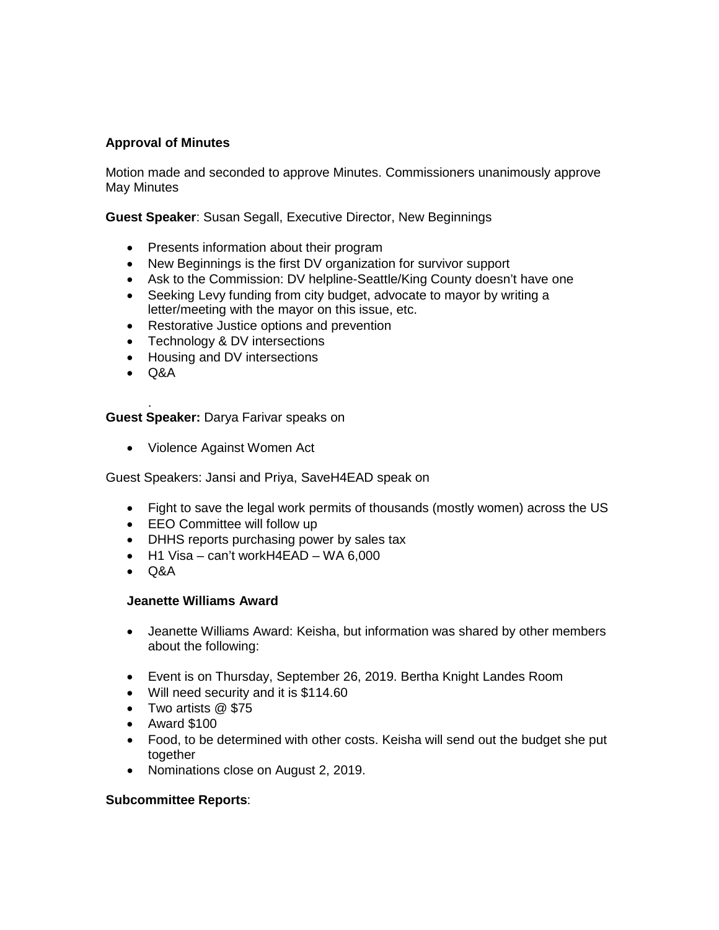## **Approval of Minutes**

Motion made and seconded to approve Minutes. Commissioners unanimously approve May Minutes

**Guest Speaker**: Susan Segall, Executive Director, New Beginnings

- Presents information about their program
- New Beginnings is the first DV organization for survivor support
- Ask to the Commission: DV helpline-Seattle/King County doesn't have one
- Seeking Levy funding from city budget, advocate to mayor by writing a letter/meeting with the mayor on this issue, etc.
- Restorative Justice options and prevention
- Technology & DV intersections
- Housing and DV intersections
- Q&A

. **Guest Speaker:** Darya Farivar speaks on

• Violence Against Women Act

Guest Speakers: Jansi and Priya, SaveH4EAD speak on

- Fight to save the legal work permits of thousands (mostly women) across the US
- EEO Committee will follow up
- DHHS reports purchasing power by sales tax
- H1 Visa can't workH4EAD WA 6,000
- Q&A

## **Jeanette Williams Award**

- Jeanette Williams Award: Keisha, but information was shared by other members about the following:
- Event is on Thursday, September 26, 2019. Bertha Knight Landes Room
- Will need security and it is \$114.60
- Two artists @ \$75
- Award \$100
- Food, to be determined with other costs. Keisha will send out the budget she put together
- Nominations close on August 2, 2019.

#### **Subcommittee Reports**: